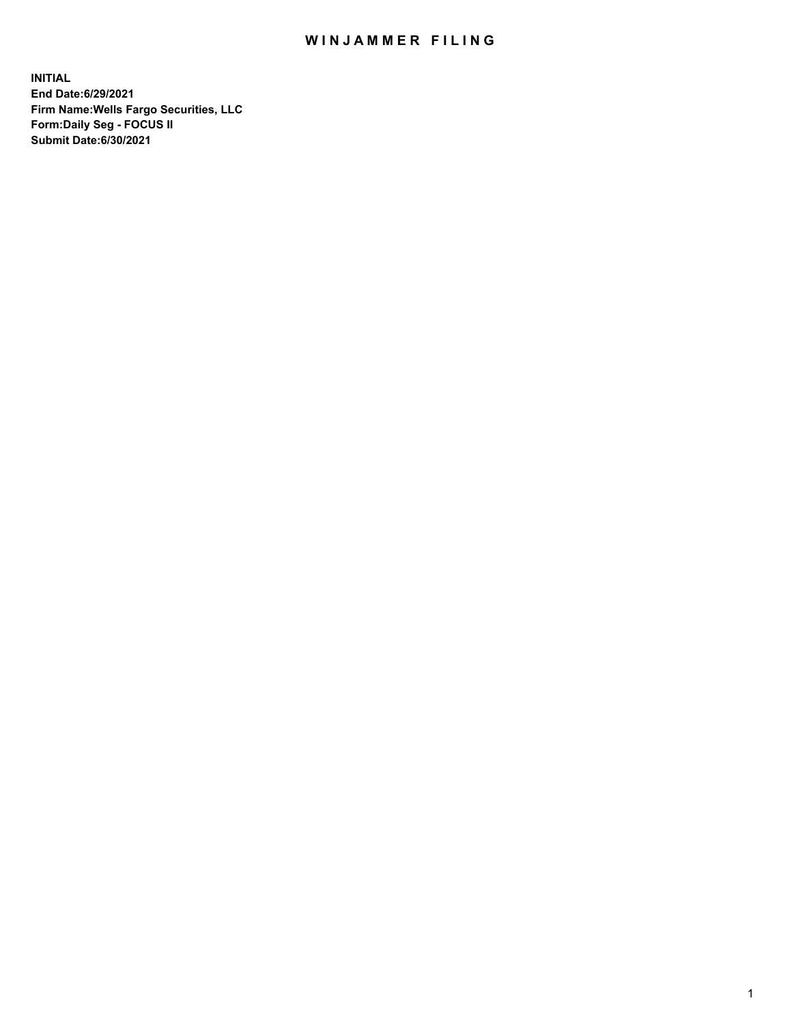## WIN JAMMER FILING

**INITIAL End Date:6/29/2021 Firm Name:Wells Fargo Securities, LLC Form:Daily Seg - FOCUS II Submit Date:6/30/2021**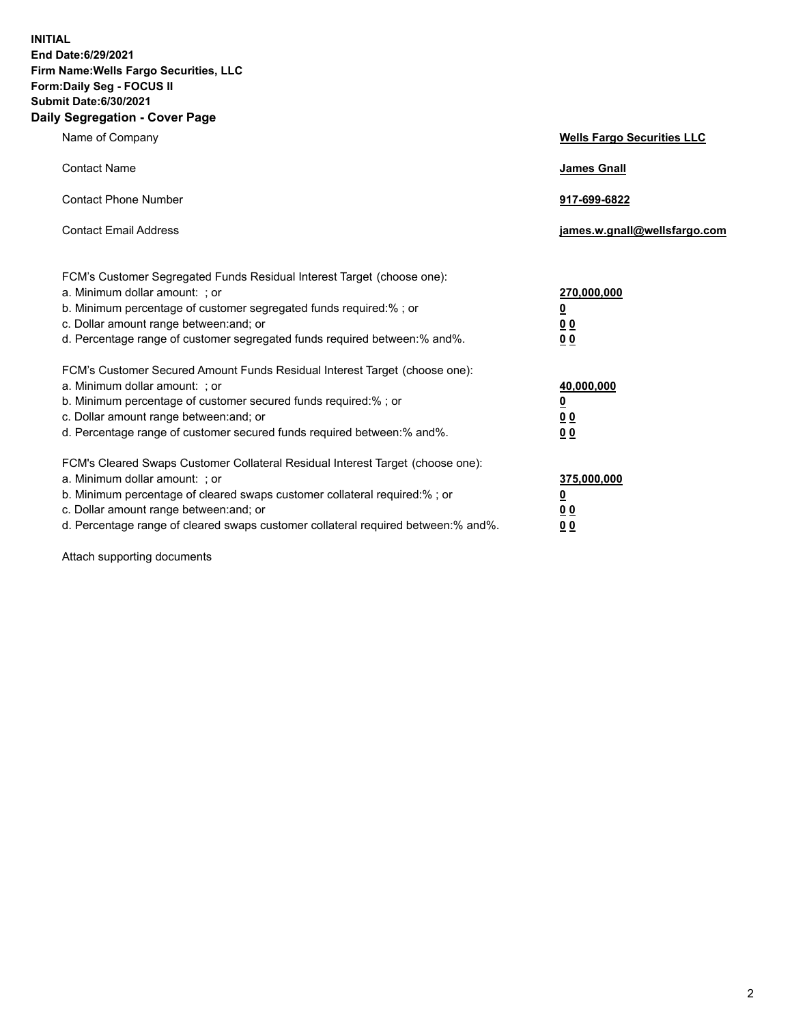**INITIAL End Date:6/29/2021 Firm Name:Wells Fargo Securities, LLC Form:Daily Seg - FOCUS II Submit Date:6/30/2021 Daily Segregation - Cover Page**

| Name of Company                                                                                                                                                                                                                                                                                                               | <b>Wells Fargo Securities LLC</b>                          |
|-------------------------------------------------------------------------------------------------------------------------------------------------------------------------------------------------------------------------------------------------------------------------------------------------------------------------------|------------------------------------------------------------|
| <b>Contact Name</b>                                                                                                                                                                                                                                                                                                           | <b>James Gnall</b>                                         |
| <b>Contact Phone Number</b>                                                                                                                                                                                                                                                                                                   | 917-699-6822                                               |
| <b>Contact Email Address</b>                                                                                                                                                                                                                                                                                                  | james.w.gnall@wellsfargo.com                               |
| FCM's Customer Segregated Funds Residual Interest Target (choose one):<br>a. Minimum dollar amount: ; or<br>b. Minimum percentage of customer segregated funds required:% ; or<br>c. Dollar amount range between: and; or<br>d. Percentage range of customer segregated funds required between:% and%.                        | 270,000,000<br><u>0</u><br>0 <sub>0</sub><br>00            |
| FCM's Customer Secured Amount Funds Residual Interest Target (choose one):<br>a. Minimum dollar amount: ; or<br>b. Minimum percentage of customer secured funds required:%; or<br>c. Dollar amount range between: and; or<br>d. Percentage range of customer secured funds required between: % and %.                         | 40,000,000<br><u>0</u><br>0 <sub>0</sub><br>0 <sub>0</sub> |
| FCM's Cleared Swaps Customer Collateral Residual Interest Target (choose one):<br>a. Minimum dollar amount: ; or<br>b. Minimum percentage of cleared swaps customer collateral required:%; or<br>c. Dollar amount range between: and; or<br>d. Percentage range of cleared swaps customer collateral required between:% and%. | 375,000,000<br><u>0</u><br>00<br>00                        |

Attach supporting documents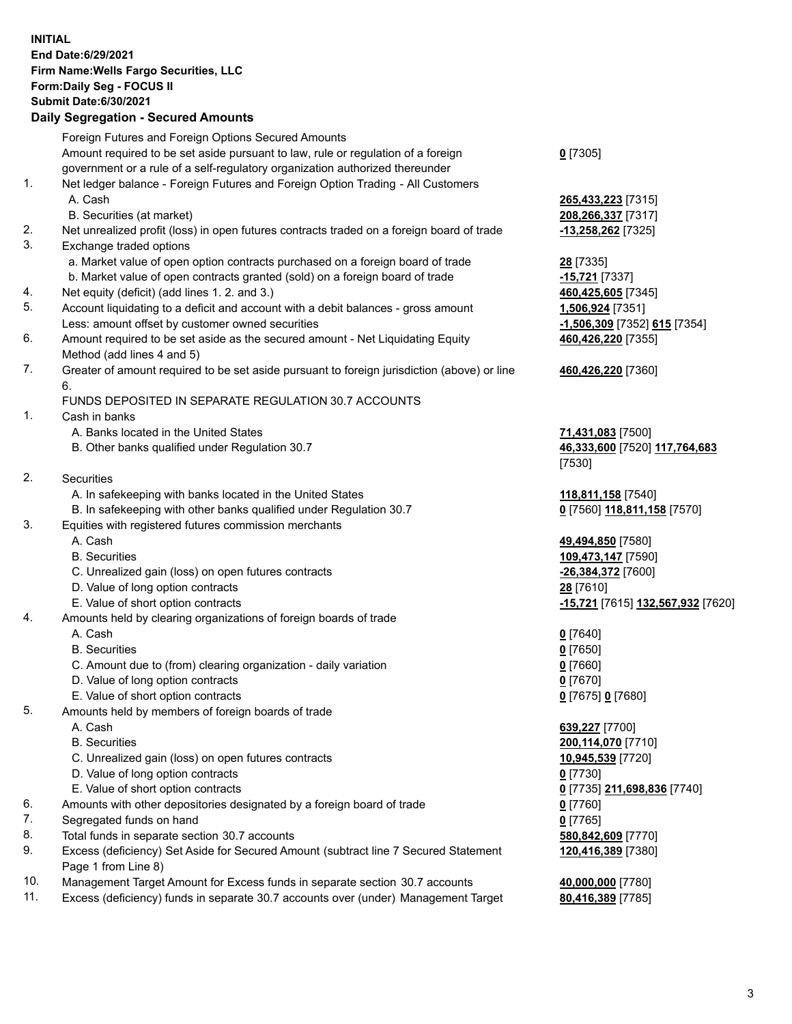**INITIAL End Date:6/29/2021 Firm Name:Wells Fargo Securities, LLC Form:Daily Seg - FOCUS II Submit Date:6/30/2021**

## **Daily Segregation - Secured Amounts**

|    | Foreign Futures and Foreign Options Secured Amounts                                         |                                   |
|----|---------------------------------------------------------------------------------------------|-----------------------------------|
|    | Amount required to be set aside pursuant to law, rule or regulation of a foreign            | $0$ [7305]                        |
|    | government or a rule of a self-regulatory organization authorized thereunder                |                                   |
| 1. | Net ledger balance - Foreign Futures and Foreign Option Trading - All Customers             |                                   |
|    | A. Cash                                                                                     | 265,433,223 [7315]                |
|    | B. Securities (at market)                                                                   | 208,266,337 [7317]                |
| 2. | Net unrealized profit (loss) in open futures contracts traded on a foreign board of trade   | -13,258,262 [7325]                |
| 3. | Exchange traded options                                                                     |                                   |
|    | a. Market value of open option contracts purchased on a foreign board of trade              | <b>28</b> [7335]                  |
|    | b. Market value of open contracts granted (sold) on a foreign board of trade                | -15,721 [7337]                    |
| 4. | Net equity (deficit) (add lines 1. 2. and 3.)                                               | 460,425,605 [7345]                |
| 5. | Account liquidating to a deficit and account with a debit balances - gross amount           | 1,506,924 [7351]                  |
|    | Less: amount offset by customer owned securities                                            | -1,506,309 [7352] 615 [7354]      |
| 6. | Amount required to be set aside as the secured amount - Net Liquidating Equity              | 460,426,220 [7355]                |
|    | Method (add lines 4 and 5)                                                                  |                                   |
| 7. | Greater of amount required to be set aside pursuant to foreign jurisdiction (above) or line | 460,426,220 [7360]                |
|    | 6.                                                                                          |                                   |
|    | FUNDS DEPOSITED IN SEPARATE REGULATION 30.7 ACCOUNTS                                        |                                   |
| 1. | Cash in banks                                                                               |                                   |
|    | A. Banks located in the United States                                                       | 71,431,083 [7500]                 |
|    | B. Other banks qualified under Regulation 30.7                                              | 46,333,600 [7520] 117,764,683     |
|    |                                                                                             | [7530]                            |
| 2. | Securities                                                                                  |                                   |
|    | A. In safekeeping with banks located in the United States                                   | 118,811,158 [7540]                |
|    | B. In safekeeping with other banks qualified under Regulation 30.7                          | 0 [7560] 118,811,158 [7570]       |
| 3. | Equities with registered futures commission merchants                                       |                                   |
|    | A. Cash                                                                                     | 49,494,850 [7580]                 |
|    | <b>B.</b> Securities                                                                        | 109,473,147 [7590]                |
|    | C. Unrealized gain (loss) on open futures contracts                                         | -26,384,372 [7600]                |
|    | D. Value of long option contracts                                                           | 28 [7610]                         |
|    | E. Value of short option contracts                                                          | -15,721 [7615] 132,567,932 [7620] |
| 4. | Amounts held by clearing organizations of foreign boards of trade                           |                                   |
|    | A. Cash                                                                                     | $0$ [7640]                        |
|    | <b>B.</b> Securities                                                                        | $0$ [7650]                        |
|    | C. Amount due to (from) clearing organization - daily variation                             | $0$ [7660]                        |
|    | D. Value of long option contracts                                                           | $0$ [7670]                        |
|    | E. Value of short option contracts                                                          | 0 [7675] 0 [7680]                 |
| 5. | Amounts held by members of foreign boards of trade                                          |                                   |
|    | A. Cash                                                                                     | 639,227 [7700]                    |
|    | <b>B.</b> Securities                                                                        | 200,114,070 [7710]                |
|    | C. Unrealized gain (loss) on open futures contracts                                         | 10,945,539 [7720]                 |
|    | D. Value of long option contracts                                                           | $0$ [7730]                        |
|    | E. Value of short option contracts                                                          | 0 [7735] 211,698,836 [7740]       |
| 6. | Amounts with other depositories designated by a foreign board of trade                      | $0$ [7760]                        |
| 7. | Segregated funds on hand                                                                    | $0$ [7765]                        |
| 8. | Total funds in separate section 30.7 accounts                                               | 580,842,609 [7770]                |
| 9. | Excess (deficiency) Set Aside for Secured Amount (subtract line 7 Secured Statement         | 120,416,389 [7380]                |
|    | Page 1 from Line 8)                                                                         |                                   |

- 10. Management Target Amount for Excess funds in separate section 30.7 accounts **40,000,000** [7780]
- 11. Excess (deficiency) funds in separate 30.7 accounts over (under) Management Target **80,416,389** [7785]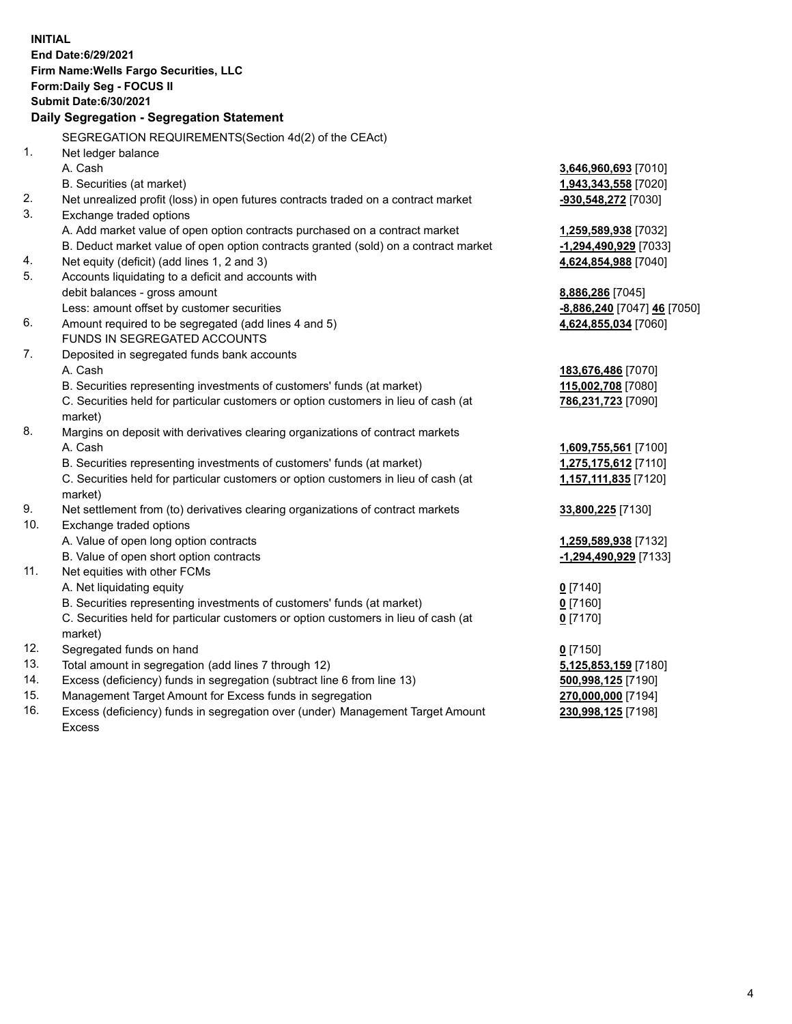**INITIAL End Date:6/29/2021 Firm Name:Wells Fargo Securities, LLC Form:Daily Seg - FOCUS II Submit Date:6/30/2021 Daily Segregation - Segregation Statement** SEGREGATION REQUIREMENTS(Section 4d(2) of the CEAct) 1. Net ledger balance A. Cash **3,646,960,693** [7010] B. Securities (at market) **1,943,343,558** [7020] 2. Net unrealized profit (loss) in open futures contracts traded on a contract market **-930,548,272** [7030] 3. Exchange traded options A. Add market value of open option contracts purchased on a contract market **1,259,589,938** [7032] B. Deduct market value of open option contracts granted (sold) on a contract market **-1,294,490,929** [7033] 4. Net equity (deficit) (add lines 1, 2 and 3) **4,624,854,988** [7040] 5. Accounts liquidating to a deficit and accounts with debit balances - gross amount **8,886,286** [7045] Less: amount offset by customer securities **-8,886,240** [7047] **46** [7050] 6. Amount required to be segregated (add lines 4 and 5) **4,624,855,034** [7060] FUNDS IN SEGREGATED ACCOUNTS 7. Deposited in segregated funds bank accounts A. Cash **183,676,486** [7070] B. Securities representing investments of customers' funds (at market) **115,002,708** [7080] C. Securities held for particular customers or option customers in lieu of cash (at market) **786,231,723** [7090] 8. Margins on deposit with derivatives clearing organizations of contract markets A. Cash **1,609,755,561** [7100] B. Securities representing investments of customers' funds (at market) **1,275,175,612** [7110] C. Securities held for particular customers or option customers in lieu of cash (at market) **1,157,111,835** [7120] 9. Net settlement from (to) derivatives clearing organizations of contract markets **33,800,225** [7130] 10. Exchange traded options A. Value of open long option contracts **1,259,589,938** [7132] B. Value of open short option contracts **-1,294,490,929** [7133] 11. Net equities with other FCMs A. Net liquidating equity **0** [7140] B. Securities representing investments of customers' funds (at market) **0** [7160] C. Securities held for particular customers or option customers in lieu of cash (at market) **0** [7170] 12. Segregated funds on hand **0** [7150] 13. Total amount in segregation (add lines 7 through 12) **5,125,853,159** [7180] 14. Excess (deficiency) funds in segregation (subtract line 6 from line 13) **500,998,125** [7190] 15. Management Target Amount for Excess funds in segregation **270,000,000** [7194] 16. Excess (deficiency) funds in segregation over (under) Management Target Amount **230,998,125** [7198]

Excess